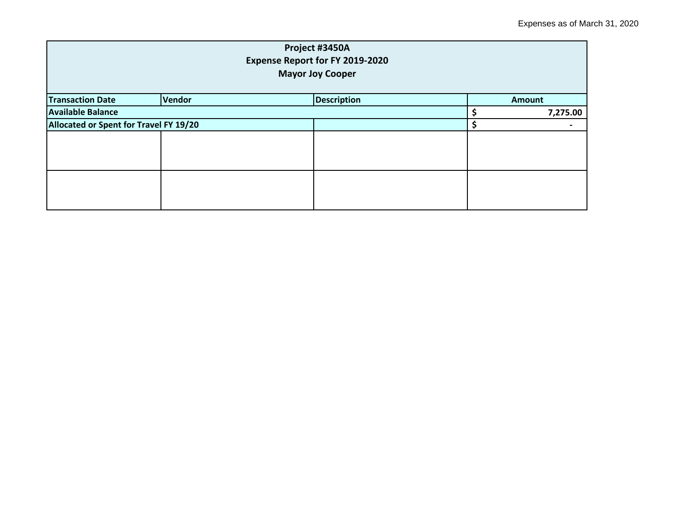| Project #3450A<br><b>Expense Report for FY 2019-2020</b><br><b>Mayor Joy Cooper</b> |        |                    |  |               |  |
|-------------------------------------------------------------------------------------|--------|--------------------|--|---------------|--|
| <b>Transaction Date</b>                                                             | Vendor | <b>Description</b> |  | <b>Amount</b> |  |
| <b>Available Balance</b>                                                            |        |                    |  | 7,275.00      |  |
| Allocated or Spent for Travel FY 19/20                                              |        |                    |  | -             |  |
|                                                                                     |        |                    |  |               |  |
|                                                                                     |        |                    |  |               |  |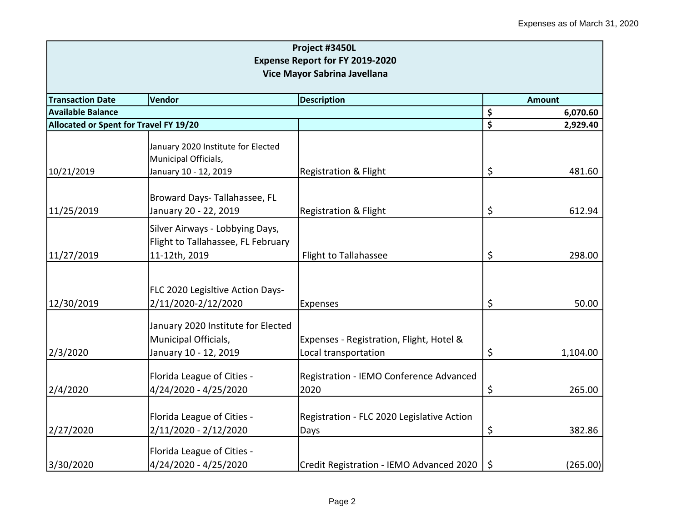|                                        |                                    | Project #3450L                             |         |          |  |  |
|----------------------------------------|------------------------------------|--------------------------------------------|---------|----------|--|--|
|                                        |                                    | <b>Expense Report for FY 2019-2020</b>     |         |          |  |  |
| Vice Mayor Sabrina Javellana           |                                    |                                            |         |          |  |  |
| <b>Transaction Date</b>                | Vendor<br><b>Description</b>       |                                            |         |          |  |  |
| <b>Available Balance</b>               |                                    |                                            | \$      | 6,070.60 |  |  |
| Allocated or Spent for Travel FY 19/20 |                                    |                                            | \$      | 2,929.40 |  |  |
|                                        | January 2020 Institute for Elected |                                            |         |          |  |  |
|                                        | Municipal Officials,               |                                            |         |          |  |  |
| 10/21/2019                             | January 10 - 12, 2019              | <b>Registration &amp; Flight</b>           | \$      | 481.60   |  |  |
|                                        |                                    |                                            |         |          |  |  |
|                                        | Broward Days-Tallahassee, FL       |                                            |         |          |  |  |
| 11/25/2019                             | January 20 - 22, 2019              | <b>Registration &amp; Flight</b>           | \$      | 612.94   |  |  |
|                                        | Silver Airways - Lobbying Days,    |                                            |         |          |  |  |
|                                        | Flight to Tallahassee, FL February |                                            |         |          |  |  |
| 11/27/2019                             | 11-12th, 2019                      | Flight to Tallahassee                      | \$      | 298.00   |  |  |
|                                        |                                    |                                            |         |          |  |  |
|                                        | FLC 2020 Legisltive Action Days-   |                                            |         |          |  |  |
| 12/30/2019                             | 2/11/2020-2/12/2020                | Expenses                                   | \$      | 50.00    |  |  |
|                                        | January 2020 Institute for Elected |                                            |         |          |  |  |
|                                        | Municipal Officials,               | Expenses - Registration, Flight, Hotel &   |         |          |  |  |
| 2/3/2020                               | January 10 - 12, 2019              | Local transportation                       | \$      | 1,104.00 |  |  |
|                                        |                                    |                                            |         |          |  |  |
|                                        | Florida League of Cities -         | Registration - IEMO Conference Advanced    |         |          |  |  |
| 2/4/2020                               | 4/24/2020 - 4/25/2020              | 2020                                       | \$      | 265.00   |  |  |
|                                        |                                    |                                            |         |          |  |  |
|                                        | Florida League of Cities -         | Registration - FLC 2020 Legislative Action |         |          |  |  |
| 2/27/2020                              | 2/11/2020 - 2/12/2020              | Days                                       | \$      | 382.86   |  |  |
|                                        | Florida League of Cities -         |                                            |         |          |  |  |
| 3/30/2020                              | 4/24/2020 - 4/25/2020              | Credit Registration - IEMO Advanced 2020   | $\zeta$ | (265.00) |  |  |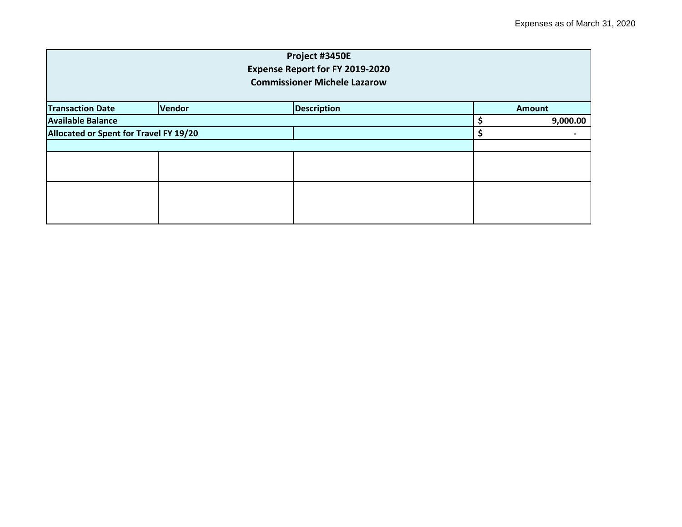| Project #3450E<br><b>Expense Report for FY 2019-2020</b><br><b>Commissioner Michele Lazarow</b> |        |                    |  |  |               |  |
|-------------------------------------------------------------------------------------------------|--------|--------------------|--|--|---------------|--|
| <b>Transaction Date</b>                                                                         | Vendor | <b>Description</b> |  |  | <b>Amount</b> |  |
| <b>Available Balance</b>                                                                        |        |                    |  |  | 9,000.00      |  |
| Allocated or Spent for Travel FY 19/20                                                          |        |                    |  |  |               |  |
|                                                                                                 |        |                    |  |  |               |  |
|                                                                                                 |        |                    |  |  |               |  |
|                                                                                                 |        |                    |  |  |               |  |
|                                                                                                 |        |                    |  |  |               |  |
|                                                                                                 |        |                    |  |  |               |  |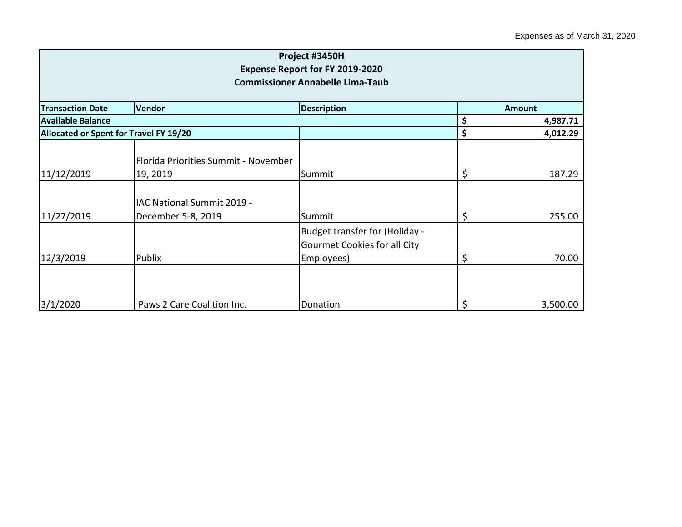| Project #3450H<br><b>Expense Report for FY 2019-2020</b><br><b>Commissioner Annabelle Lima-Taub</b> |                                                  |                                                                                     |    |               |  |
|-----------------------------------------------------------------------------------------------------|--------------------------------------------------|-------------------------------------------------------------------------------------|----|---------------|--|
| <b>Transaction Date</b>                                                                             | <b>Vendor</b>                                    | <b>Description</b>                                                                  |    | <b>Amount</b> |  |
| <b>Available Balance</b>                                                                            |                                                  |                                                                                     | \$ | 4,987.71      |  |
| Allocated or Spent for Travel FY 19/20                                                              |                                                  | \$                                                                                  |    | 4,012.29      |  |
| 11/12/2019                                                                                          | Florida Priorities Summit - November<br>19, 2019 | Summit                                                                              | \$ | 187.29        |  |
| 11/27/2019                                                                                          | IAC National Summit 2019 -<br>December 5-8, 2019 | Summit                                                                              | \$ | 255.00        |  |
| 12/3/2019                                                                                           | Publix                                           | Budget transfer for (Holiday -<br><b>Gourmet Cookies for all City</b><br>Employees) | \$ | 70.00         |  |
| 3/1/2020                                                                                            | Paws 2 Care Coalition Inc.                       | Donation                                                                            | \$ | 3,500.00      |  |